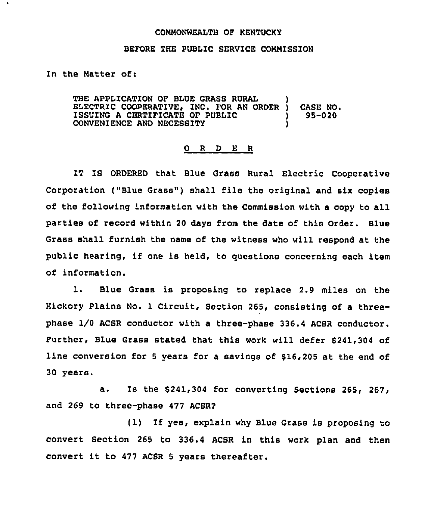## COMNONWEALTH OF KENTUCKY

## BEFORE THE PUBLIC SERVICE CONMISSION

In the Natter of:

THE APPLICATION OF BLUE GRASS RURAL ELECTRIC COOPERATIVE, INC. FOR AN ORDER ) ISSUING A CERTIFICATE OF PUBLIC ) CONVENIENCE AND NECESSITY ) CASE NO. 95-020

## 0 R <sup>D</sup> E R

IT IS ORDERED that Blue Grass Rural Electric Cooperative Corporation ("Blue Grass") shall file the original and six copies of the following information with the Commission with a copy to all parties of record within 20 days from the date of this Order. Blue Grass shall furnish the name of the witness who will respond at the public hearing, if one is held, to questions concerning each item of information.

l. Blue Grass is proposing to replace 2.9 miles on the Hickory Plains No. 1 Circuit, Section 265, consisting of a threephase I/O ACSR conductor with a three-phase 336.4 ACSR conductor. Further, Blue Grass stated that this work will defer \$241,304 of line conversion for <sup>5</sup> years for a savings of \$16,205 at the end of 30 years.

a. Is the \$241,304 for converting Sections 265, 267, and 269 to three-phase 477 ACSR2

(1) If yes, explain why Blue Grass is proposing to convert Section 265 to 336.4 ACSR in this work plan and then convert it to <sup>477</sup> ACSR <sup>5</sup> years thereafter.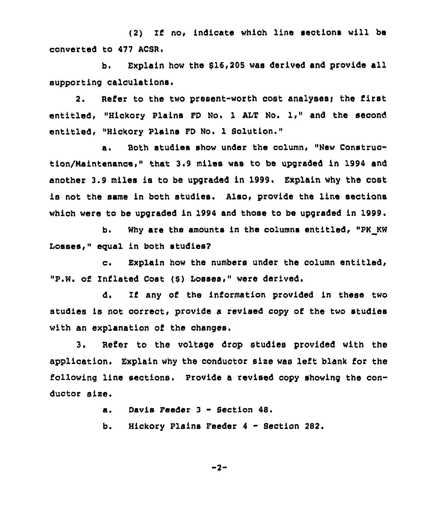(2) If no< indicate whioh line sections will be converted to 477 ACSR.

b. Explain how the 915,205 was derived and provide all supporting calculations.

2. Refer to the two present-worth cost analyses; the first entitled, "Hickory Plains FD No. <sup>1</sup> ALT No. 1," and the second entitled, "Hickory Plains FD No. 1 Solution."

a. Both studies show under the column, "New Construction/Nalntenance," that 3.9 miles was to be upgraded in 1994 and another 3.9 miles ia to be upgraded in 1999. Explain why the cost is not the same in both studies. Also, provide the line sections which were to be upgraded in 1994 and those to be upgraded in 1999.

b. Why are the amounts in the columns entitled, "PK KW Losses," equal in both studies?

o. Explain how the numbers under the column entitled, "P.W. of Inflated Cost (8) Losses," were derived.

d. If any of the information provided in these two studies is not correct, provide a revised copy of the two studies with an explanation of the changes.

Refer to the voltage drop studies provided with the  $3.$ application. Explain why the conductor size was left blank for the following line sections. Provide a revised copy showing the conductor size.

> Davis Feeder 3 - Section 48. a.

b. Hickory Plains Feeder <sup>4</sup> - Section 282.

 $-2-$